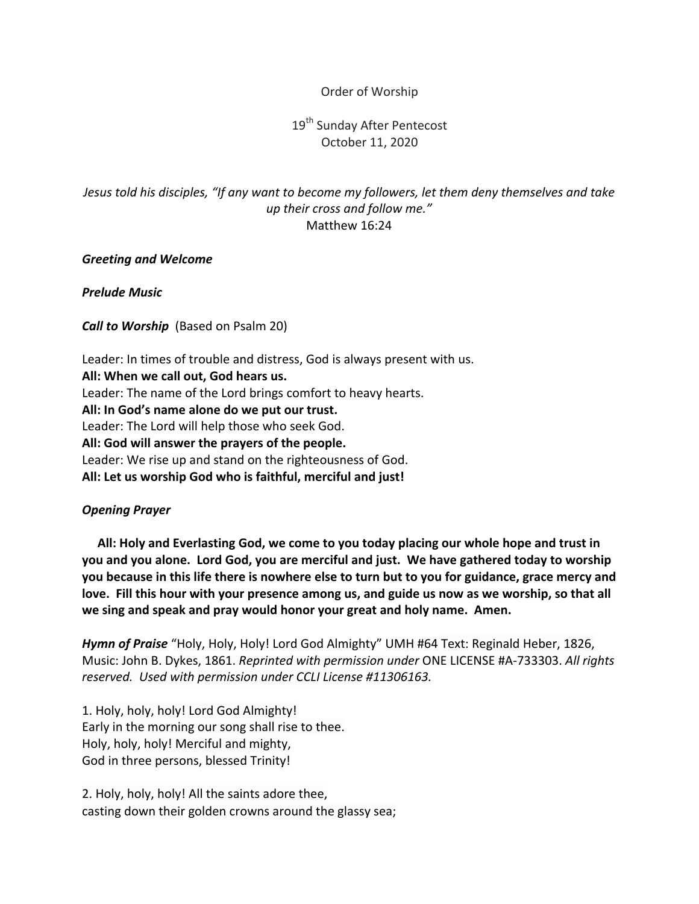### Order of Worship

# 19<sup>th</sup> Sunday After Pentecost October 11, 2020

## *Jesus told his disciples, "If any want to become my followers, let them deny themselves and take up their cross and follow me."* Matthew 16:24

### *Greeting and Welcome*

*Prelude Music*

*Call to Worship* (Based on Psalm 20)

Leader: In times of trouble and distress, God is always present with us. All: When we call out, God hears us. Leader: The name of the Lord brings comfort to heavy hearts. All: In God's name alone do we put our trust. Leader: The Lord will help those who seek God. All: God will answer the prayers of the people. Leader: We rise up and stand on the righteousness of God. All: Let us worship God who is faithful, merciful and just!

### *Opening Prayer*

All: Holy and Everlasting God, we come to you today placing our whole hope and trust in you and you alone. Lord God, you are merciful and just. We have gathered today to worship you because in this life there is nowhere else to turn but to you for guidance, grace mercy and love. Fill this hour with your presence among us, and guide us now as we worship, so that all we sing and speak and pray would honor your great and holy name. Amen.

Hymn of Praise "Holy, Holy, Holy! Lord God Almighty" UMH #64 Text: Reginald Heber, 1826, Music: John B. Dykes, 1861. *Reprinted with permission under* ONE LICENSE #A-733303. All rights reserved. Used with permission under CCLI License #11306163.

1. Holy, holy, holy! Lord God Almighty! Early in the morning our song shall rise to thee. Holy, holy, holy! Merciful and mighty, God in three persons, blessed Trinity!

2. Holy, holy, holy! All the saints adore thee, casting down their golden crowns around the glassy sea;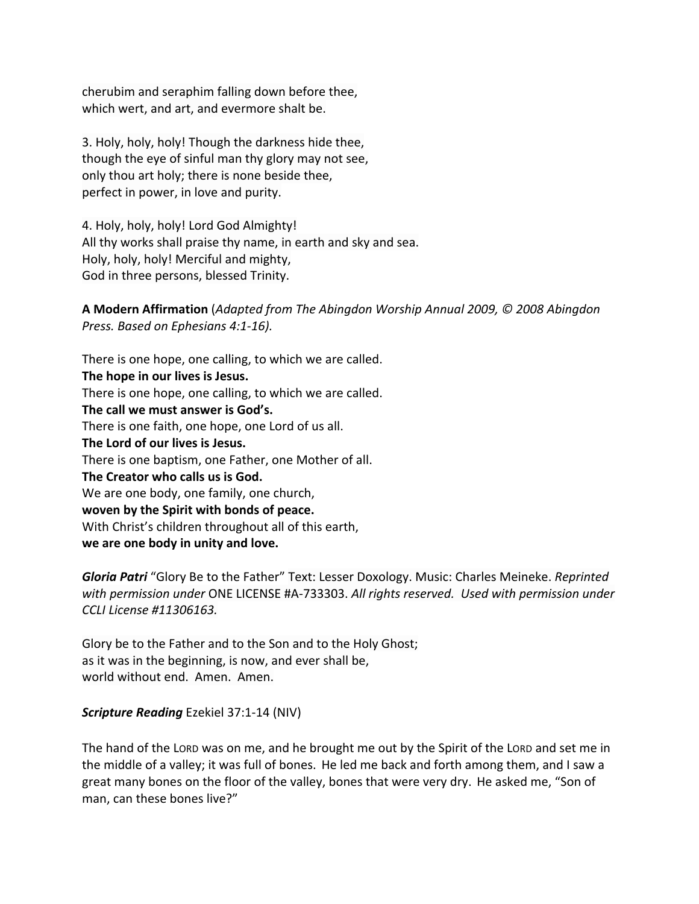cherubim and seraphim falling down before thee, which wert, and art, and evermore shalt be.

3. Holy, holy, holy! Though the darkness hide thee, though the eye of sinful man thy glory may not see, only thou art holy; there is none beside thee, perfect in power, in love and purity.

4. Holy, holy, holy! Lord God Almighty! All thy works shall praise thy name, in earth and sky and sea. Holy, holy, holy! Merciful and mighty, God in three persons, blessed Trinity.

**A Modern Affirmation** (*Adapted from The Abingdon Worship Annual 2009, © 2008 Abingdon Press. Based on Ephesians 4:1-16).*

There is one hope, one calling, to which we are called. **The hope in our lives is Jesus.** There is one hope, one calling, to which we are called. **The call we must answer is God's.** There is one faith, one hope, one Lord of us all. **The Lord of our lives is Jesus.** There is one baptism, one Father, one Mother of all. **The Creator who calls us is God.** We are one body, one family, one church, **woven by the Spirit with bonds of peace.** With Christ's children throughout all of this earth, **we are one body in unity and love.**

**Gloria Patri** "Glory Be to the Father" Text: Lesser Doxology. Music: Charles Meineke. Reprinted with permission under ONE LICENSE #A-733303. All rights reserved. Used with permission under *CCLI License #11306163.*

Glory be to the Father and to the Son and to the Holy Ghost; as it was in the beginning, is now, and ever shall be, world without end. Amen. Amen.

**Scripture Reading** Ezekiel 37:1-14 (NIV)

The hand of the LORD was on me, and he brought me out by the Spirit of the LORD and set me in the middle of a valley; it was full of bones. He led me back and forth among them, and I saw a great many bones on the floor of the valley, bones that were very dry. He asked me, "Son of man, can these bones live?"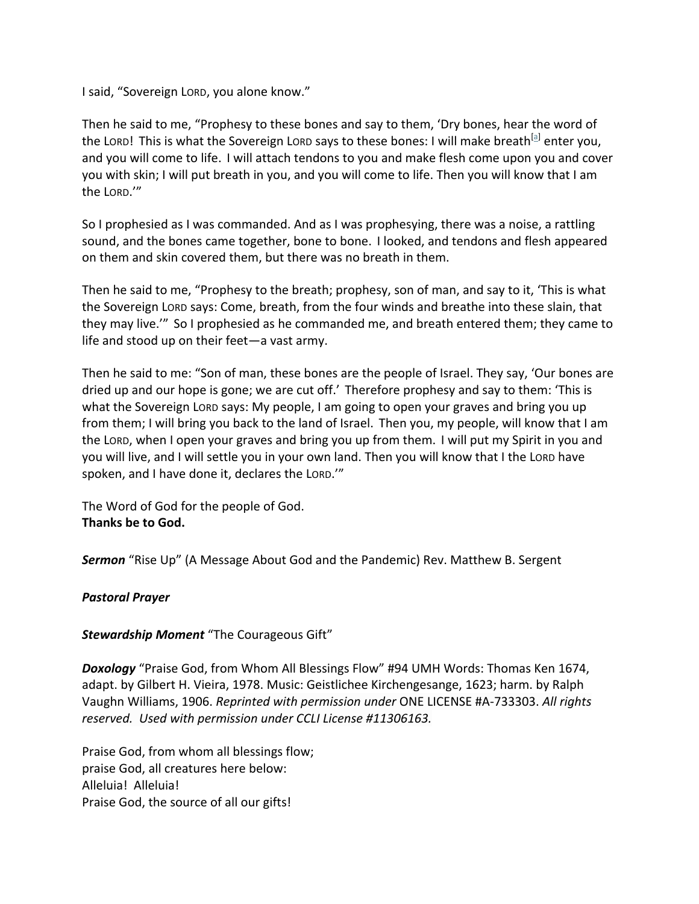I said, "Sovereign Lorp, you alone know."

Then he said to me, "Prophesy to these bones and say to them, 'Dry bones, hear the word of the Lorn! This is what the Sovereign Lorn says to these bones: I will make breath<sup>[a]</sup> enter you, and you will come to life. I will attach tendons to you and make flesh come upon you and cover you with skin; I will put breath in you, and you will come to life. Then you will know that I am the LORD.'"

So I prophesied as I was commanded. And as I was prophesying, there was a noise, a rattling sound, and the bones came together, bone to bone. I looked, and tendons and flesh appeared on them and skin covered them, but there was no breath in them.

Then he said to me, "Prophesy to the breath; prophesy, son of man, and say to it, 'This is what the Sovereign Lord says: Come, breath, from the four winds and breathe into these slain, that they may live." So I prophesied as he commanded me, and breath entered them; they came to life and stood up on their feet—a vast army.

Then he said to me: "Son of man, these bones are the people of Israel. They say, 'Our bones are dried up and our hope is gone; we are cut off.' Therefore prophesy and say to them: 'This is what the Sovereign Lord says: My people, I am going to open your graves and bring you up from them; I will bring you back to the land of Israel. Then you, my people, will know that I am the Lorp, when I open your graves and bring you up from them. I will put my Spirit in you and you will live, and I will settle you in your own land. Then you will know that I the Lord have spoken, and I have done it, declares the LORD."

The Word of God for the people of God. Thanks be to God.

**Sermon** "Rise Up" (A Message About God and the Pandemic) Rev. Matthew B. Sergent

### *Pastoral Prayer*

#### **Stewardship Moment** "The Courageous Gift"

**Doxology** "Praise God, from Whom All Blessings Flow" #94 UMH Words: Thomas Ken 1674, adapt. by Gilbert H. Vieira, 1978. Music: Geistlichee Kirchengesange, 1623; harm. by Ralph Vaughn Williams, 1906. *Reprinted with permission under* ONE LICENSE #A-733303. All rights reserved. Used with permission under CCLI License #11306163.

Praise God, from whom all blessings flow; praise God, all creatures here below: Alleluia! Alleluia! Praise God, the source of all our gifts!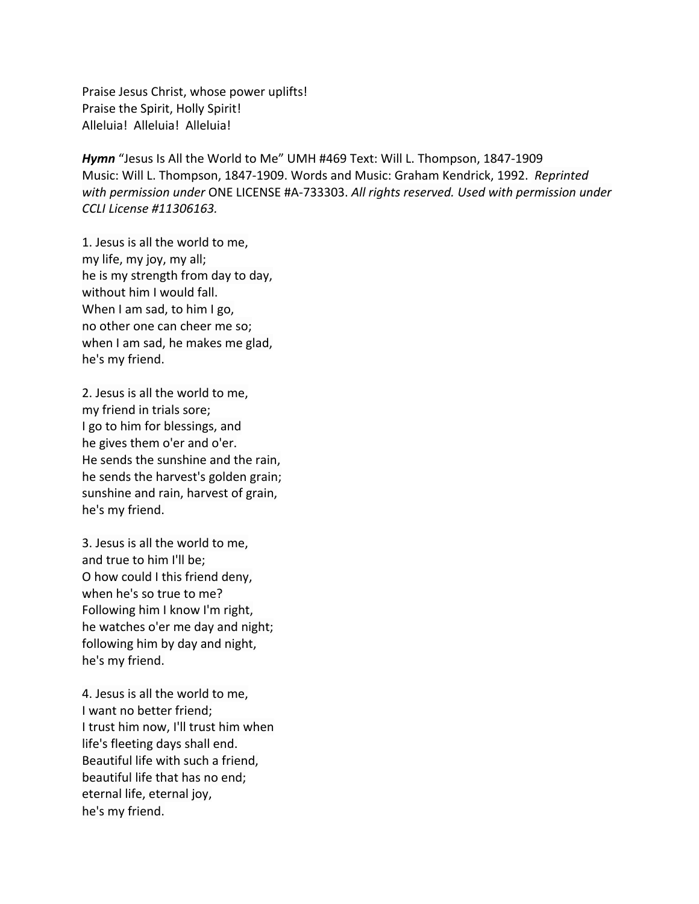Praise Jesus Christ, whose power uplifts! Praise the Spirit, Holly Spirit! Alleluia! Alleluia! Alleluia!

*Hymn* "Jesus Is All the World to Me" UMH #469 Text: Will L. Thompson, 1847-1909 Music: Will L. Thompson, 1847-1909. Words and Music: Graham Kendrick, 1992. Reprinted with permission under ONE LICENSE #A-733303. All rights reserved. Used with permission under *CCLI License #11306163.* 

1. Jesus is all the world to me, my life, my joy, my all; he is my strength from day to day, without him I would fall. When I am sad, to him I go, no other one can cheer me so; when I am sad, he makes me glad, he's my friend.

2. Jesus is all the world to me, my friend in trials sore; I go to him for blessings, and he gives them o'er and o'er. He sends the sunshine and the rain, he sends the harvest's golden grain; sunshine and rain, harvest of grain, he's my friend.

3. Jesus is all the world to me, and true to him I'll be; O how could I this friend deny, when he's so true to me? Following him I know I'm right, he watches o'er me day and night; following him by day and night, he's my friend.

4. Jesus is all the world to me, I want no better friend; I trust him now, I'll trust him when life's fleeting days shall end. Beautiful life with such a friend, beautiful life that has no end; eternal life, eternal joy, he's my friend.